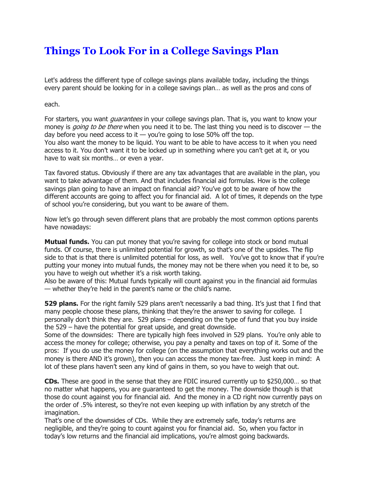## **Things To Look For in a College Savings Plan**

Let's address the different type of college savings plans available today, including the things every parent should be looking for in a college savings plan… as well as the pros and cons of

each.

For starters, you want *guarantees* in your college savings plan. That is, you want to know your money is *going to be there* when you need it to be. The last thing you need is to discover — the day before you need access to it  $-$  you're going to lose 50% off the top. You also want the money to be liquid. You want to be able to have access to it when you need access to it. You don't want it to be locked up in something where you can't get at it, or you have to wait six months… or even a year.

Tax favored status. Obviously if there are any tax advantages that are available in the plan, you want to take advantage of them. And that includes financial aid formulas. How is the college savings plan going to have an impact on financial aid? You've got to be aware of how the different accounts are going to affect you for financial aid. A lot of times, it depends on the type of school you're considering, but you want to be aware of them.

Now let's go through seven different plans that are probably the most common options parents have nowadays:

**Mutual funds.** You can put money that you're saving for college into stock or bond mutual funds. Of course, there is unlimited potential for growth, so that's one of the upsides. The flip side to that is that there is unlimited potential for loss, as well. You've got to know that if you're putting your money into mutual funds, the money may not be there when you need it to be, so you have to weigh out whether it's a risk worth taking.

Also be aware of this: Mutual funds typically will count against you in the financial aid formulas — whether they're held in the parent's name or the child's name.

**529 plans.** For the right family 529 plans aren't necessarily a bad thing. It's just that I find that many people choose these plans, thinking that they're the answer to saving for college. I personally don't think they are. 529 plans – depending on the type of fund that you buy inside the 529 – have the potential for great upside, and great downside.

Some of the downsides: There are typically high fees involved in 529 plans. You're only able to access the money for college; otherwise, you pay a penalty and taxes on top of it. Some of the pros: If you do use the money for college (on the assumption that everything works out and the money is there AND it's grown), then you can access the money tax-free. Just keep in mind: A lot of these plans haven't seen any kind of gains in them, so you have to weigh that out.

**CDs.** These are good in the sense that they are FDIC insured currently up to \$250,000… so that no matter what happens, you are guaranteed to get the money. The downside though is that those do count against you for financial aid. And the money in a CD right now currently pays on the order of .5% interest, so they're not even keeping up with inflation by any stretch of the imagination.

That's one of the downsides of CDs. While they are extremely safe, today's returns are negligible, and they're going to count against you for financial aid. So, when you factor in today's low returns and the financial aid implications, you're almost going backwards.